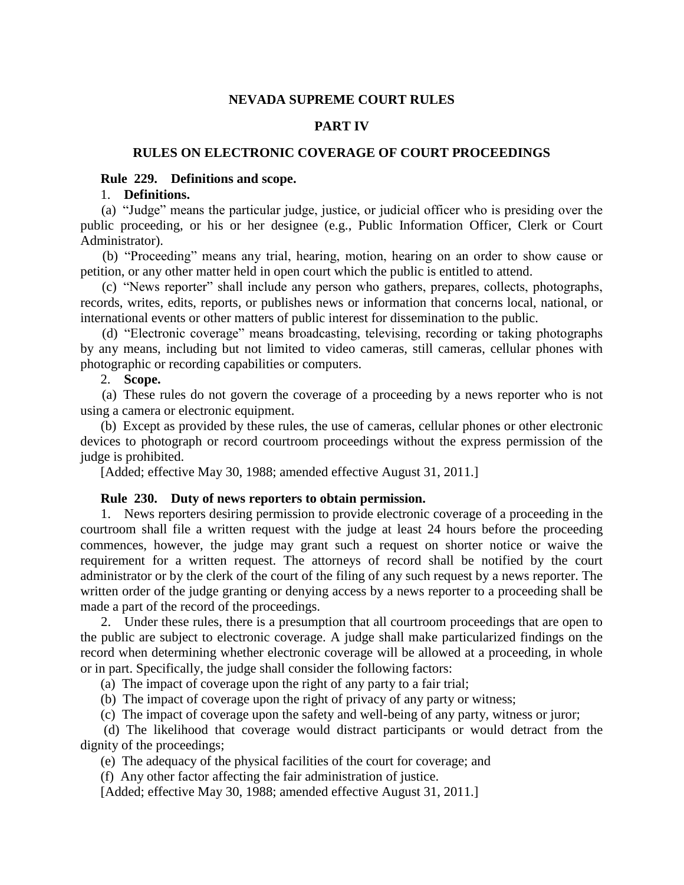# **NEVADA SUPREME COURT RULES**

## **PART IV**

### **RULES ON ELECTRONIC COVERAGE OF COURT PROCEEDINGS**

### **Rule 229. Definitions and scope.**

#### 1. **Definitions.**

 (a) "Judge" means the particular judge, justice, or judicial officer who is presiding over the public proceeding, or his or her designee (e.g., Public Information Officer, Clerk or Court Administrator).

 (b) "Proceeding" means any trial, hearing, motion, hearing on an order to show cause or petition, or any other matter held in open court which the public is entitled to attend.

 (c) "News reporter" shall include any person who gathers, prepares, collects, photographs, records, writes, edits, reports, or publishes news or information that concerns local, national, or international events or other matters of public interest for dissemination to the public.

 (d) "Electronic coverage" means broadcasting, televising, recording or taking photographs by any means, including but not limited to video cameras, still cameras, cellular phones with photographic or recording capabilities or computers.

## 2. **Scope.**

 (a) These rules do not govern the coverage of a proceeding by a news reporter who is not using a camera or electronic equipment.

 (b) Except as provided by these rules, the use of cameras, cellular phones or other electronic devices to photograph or record courtroom proceedings without the express permission of the judge is prohibited.

[Added; effective May 30, 1988; amended effective August 31, 2011.]

#### **Rule 230. Duty of news reporters to obtain permission.**

 1. News reporters desiring permission to provide electronic coverage of a proceeding in the courtroom shall file a written request with the judge at least 24 hours before the proceeding commences, however, the judge may grant such a request on shorter notice or waive the requirement for a written request. The attorneys of record shall be notified by the court administrator or by the clerk of the court of the filing of any such request by a news reporter. The written order of the judge granting or denying access by a news reporter to a proceeding shall be made a part of the record of the proceedings.

 2. Under these rules, there is a presumption that all courtroom proceedings that are open to the public are subject to electronic coverage. A judge shall make particularized findings on the record when determining whether electronic coverage will be allowed at a proceeding, in whole or in part. Specifically, the judge shall consider the following factors:

(a) The impact of coverage upon the right of any party to a fair trial;

(b) The impact of coverage upon the right of privacy of any party or witness;

(c) The impact of coverage upon the safety and well-being of any party, witness or juror;

 (d) The likelihood that coverage would distract participants or would detract from the dignity of the proceedings;

(e) The adequacy of the physical facilities of the court for coverage; and

(f) Any other factor affecting the fair administration of justice.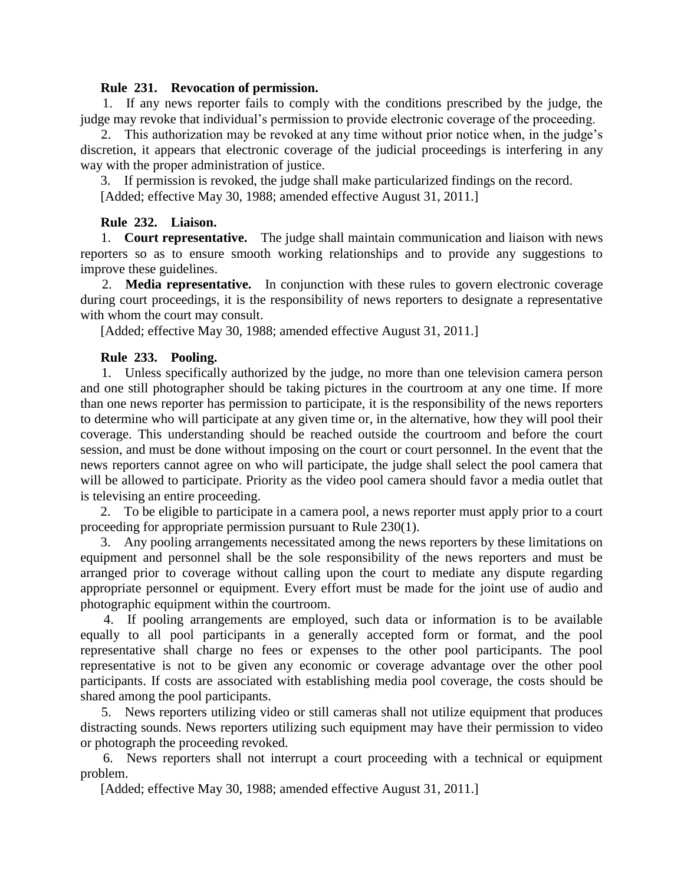## **Rule 231. Revocation of permission.**

 1. If any news reporter fails to comply with the conditions prescribed by the judge, the judge may revoke that individual's permission to provide electronic coverage of the proceeding.

 2. This authorization may be revoked at any time without prior notice when, in the judge's discretion, it appears that electronic coverage of the judicial proceedings is interfering in any way with the proper administration of justice.

 3. If permission is revoked, the judge shall make particularized findings on the record. [Added; effective May 30, 1988; amended effective August 31, 2011.]

## **Rule 232. Liaison.**

 1. **Court representative.** The judge shall maintain communication and liaison with news reporters so as to ensure smooth working relationships and to provide any suggestions to improve these guidelines.

 2. **Media representative.** In conjunction with these rules to govern electronic coverage during court proceedings, it is the responsibility of news reporters to designate a representative with whom the court may consult.

[Added; effective May 30, 1988; amended effective August 31, 2011.]

## **Rule 233. Pooling.**

 1. Unless specifically authorized by the judge, no more than one television camera person and one still photographer should be taking pictures in the courtroom at any one time. If more than one news reporter has permission to participate, it is the responsibility of the news reporters to determine who will participate at any given time or, in the alternative, how they will pool their coverage. This understanding should be reached outside the courtroom and before the court session, and must be done without imposing on the court or court personnel. In the event that the news reporters cannot agree on who will participate, the judge shall select the pool camera that will be allowed to participate. Priority as the video pool camera should favor a media outlet that is televising an entire proceeding.

 2. To be eligible to participate in a camera pool, a news reporter must apply prior to a court proceeding for appropriate permission pursuant to Rule 230(1).

 3. Any pooling arrangements necessitated among the news reporters by these limitations on equipment and personnel shall be the sole responsibility of the news reporters and must be arranged prior to coverage without calling upon the court to mediate any dispute regarding appropriate personnel or equipment. Every effort must be made for the joint use of audio and photographic equipment within the courtroom.

 4. If pooling arrangements are employed, such data or information is to be available equally to all pool participants in a generally accepted form or format, and the pool representative shall charge no fees or expenses to the other pool participants. The pool representative is not to be given any economic or coverage advantage over the other pool participants. If costs are associated with establishing media pool coverage, the costs should be shared among the pool participants.

 5. News reporters utilizing video or still cameras shall not utilize equipment that produces distracting sounds. News reporters utilizing such equipment may have their permission to video or photograph the proceeding revoked.

 6. News reporters shall not interrupt a court proceeding with a technical or equipment problem.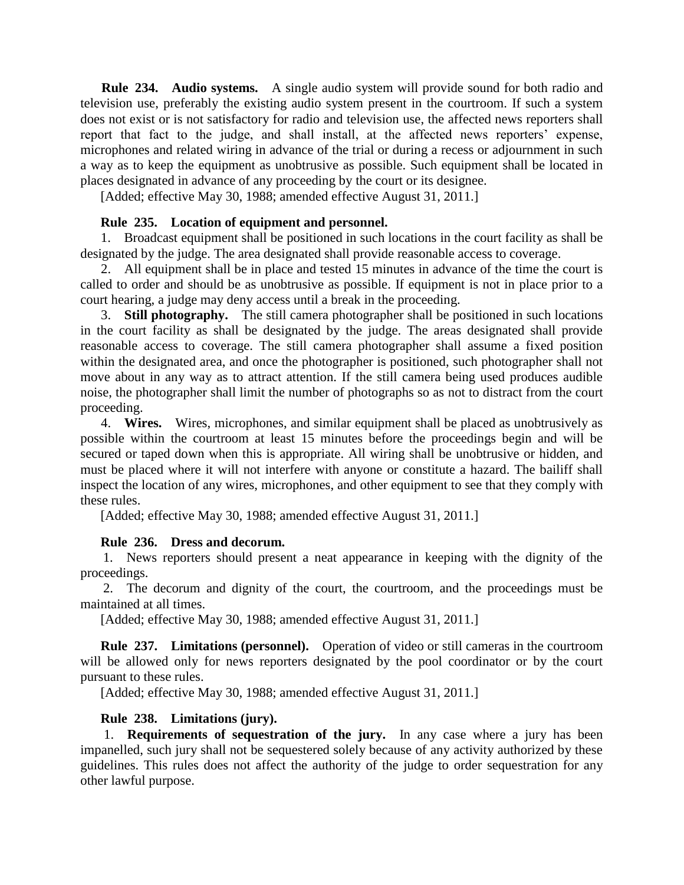**Rule 234. Audio systems.** A single audio system will provide sound for both radio and television use, preferably the existing audio system present in the courtroom. If such a system does not exist or is not satisfactory for radio and television use, the affected news reporters shall report that fact to the judge, and shall install, at the affected news reporters' expense, microphones and related wiring in advance of the trial or during a recess or adjournment in such a way as to keep the equipment as unobtrusive as possible. Such equipment shall be located in places designated in advance of any proceeding by the court or its designee.

[Added; effective May 30, 1988; amended effective August 31, 2011.]

## **Rule 235. Location of equipment and personnel.**

 1. Broadcast equipment shall be positioned in such locations in the court facility as shall be designated by the judge. The area designated shall provide reasonable access to coverage.

 2. All equipment shall be in place and tested 15 minutes in advance of the time the court is called to order and should be as unobtrusive as possible. If equipment is not in place prior to a court hearing, a judge may deny access until a break in the proceeding.

 3. **Still photography.** The still camera photographer shall be positioned in such locations in the court facility as shall be designated by the judge. The areas designated shall provide reasonable access to coverage. The still camera photographer shall assume a fixed position within the designated area, and once the photographer is positioned, such photographer shall not move about in any way as to attract attention. If the still camera being used produces audible noise, the photographer shall limit the number of photographs so as not to distract from the court proceeding.

 4. **Wires.** Wires, microphones, and similar equipment shall be placed as unobtrusively as possible within the courtroom at least 15 minutes before the proceedings begin and will be secured or taped down when this is appropriate. All wiring shall be unobtrusive or hidden, and must be placed where it will not interfere with anyone or constitute a hazard. The bailiff shall inspect the location of any wires, microphones, and other equipment to see that they comply with these rules.

[Added; effective May 30, 1988; amended effective August 31, 2011.]

## **Rule 236. Dress and decorum.**

 1. News reporters should present a neat appearance in keeping with the dignity of the proceedings.

 2. The decorum and dignity of the court, the courtroom, and the proceedings must be maintained at all times.

[Added; effective May 30, 1988; amended effective August 31, 2011.]

 **Rule 237. Limitations (personnel).** Operation of video or still cameras in the courtroom will be allowed only for news reporters designated by the pool coordinator or by the court pursuant to these rules.

[Added; effective May 30, 1988; amended effective August 31, 2011.]

# **Rule 238. Limitations (jury).**

 1. **Requirements of sequestration of the jury.** In any case where a jury has been impanelled, such jury shall not be sequestered solely because of any activity authorized by these guidelines. This rules does not affect the authority of the judge to order sequestration for any other lawful purpose.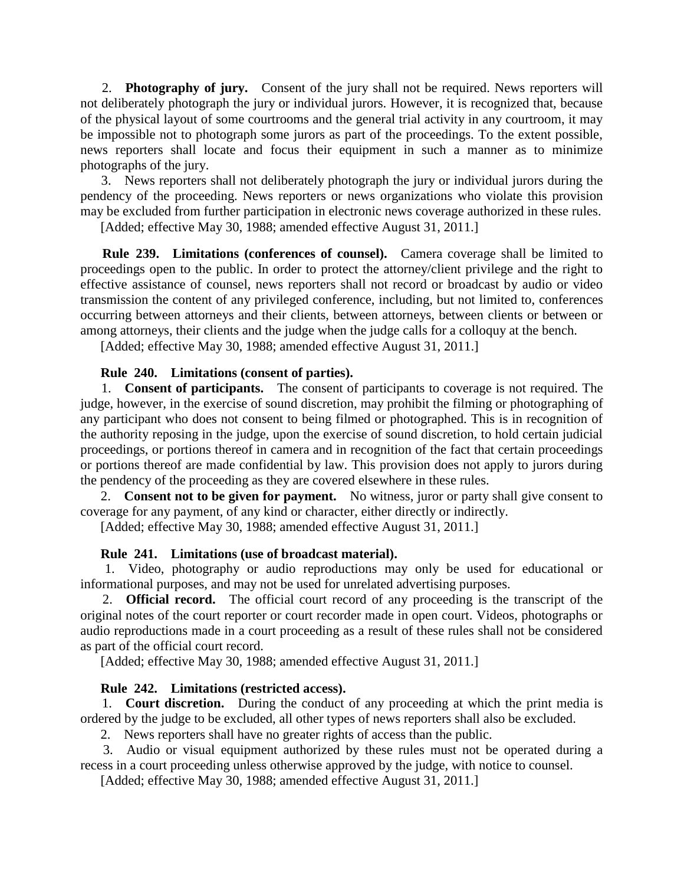2. **Photography of jury.** Consent of the jury shall not be required. News reporters will not deliberately photograph the jury or individual jurors. However, it is recognized that, because of the physical layout of some courtrooms and the general trial activity in any courtroom, it may be impossible not to photograph some jurors as part of the proceedings. To the extent possible, news reporters shall locate and focus their equipment in such a manner as to minimize photographs of the jury.

 3. News reporters shall not deliberately photograph the jury or individual jurors during the pendency of the proceeding. News reporters or news organizations who violate this provision may be excluded from further participation in electronic news coverage authorized in these rules.

[Added; effective May 30, 1988; amended effective August 31, 2011.]

 **Rule 239. Limitations (conferences of counsel).** Camera coverage shall be limited to proceedings open to the public. In order to protect the attorney/client privilege and the right to effective assistance of counsel, news reporters shall not record or broadcast by audio or video transmission the content of any privileged conference, including, but not limited to, conferences occurring between attorneys and their clients, between attorneys, between clients or between or among attorneys, their clients and the judge when the judge calls for a colloquy at the bench.

[Added; effective May 30, 1988; amended effective August 31, 2011.]

# **Rule 240. Limitations (consent of parties).**

 1. **Consent of participants.** The consent of participants to coverage is not required. The judge, however, in the exercise of sound discretion, may prohibit the filming or photographing of any participant who does not consent to being filmed or photographed. This is in recognition of the authority reposing in the judge, upon the exercise of sound discretion, to hold certain judicial proceedings, or portions thereof in camera and in recognition of the fact that certain proceedings or portions thereof are made confidential by law. This provision does not apply to jurors during the pendency of the proceeding as they are covered elsewhere in these rules.

 2. **Consent not to be given for payment.** No witness, juror or party shall give consent to coverage for any payment, of any kind or character, either directly or indirectly.

[Added; effective May 30, 1988; amended effective August 31, 2011.]

# **Rule 241. Limitations (use of broadcast material).**

 1. Video, photography or audio reproductions may only be used for educational or informational purposes, and may not be used for unrelated advertising purposes.

 2. **Official record.** The official court record of any proceeding is the transcript of the original notes of the court reporter or court recorder made in open court. Videos, photographs or audio reproductions made in a court proceeding as a result of these rules shall not be considered as part of the official court record.

[Added; effective May 30, 1988; amended effective August 31, 2011.]

# **Rule 242. Limitations (restricted access).**

 1. **Court discretion.** During the conduct of any proceeding at which the print media is ordered by the judge to be excluded, all other types of news reporters shall also be excluded.

2. News reporters shall have no greater rights of access than the public.

 3. Audio or visual equipment authorized by these rules must not be operated during a recess in a court proceeding unless otherwise approved by the judge, with notice to counsel.